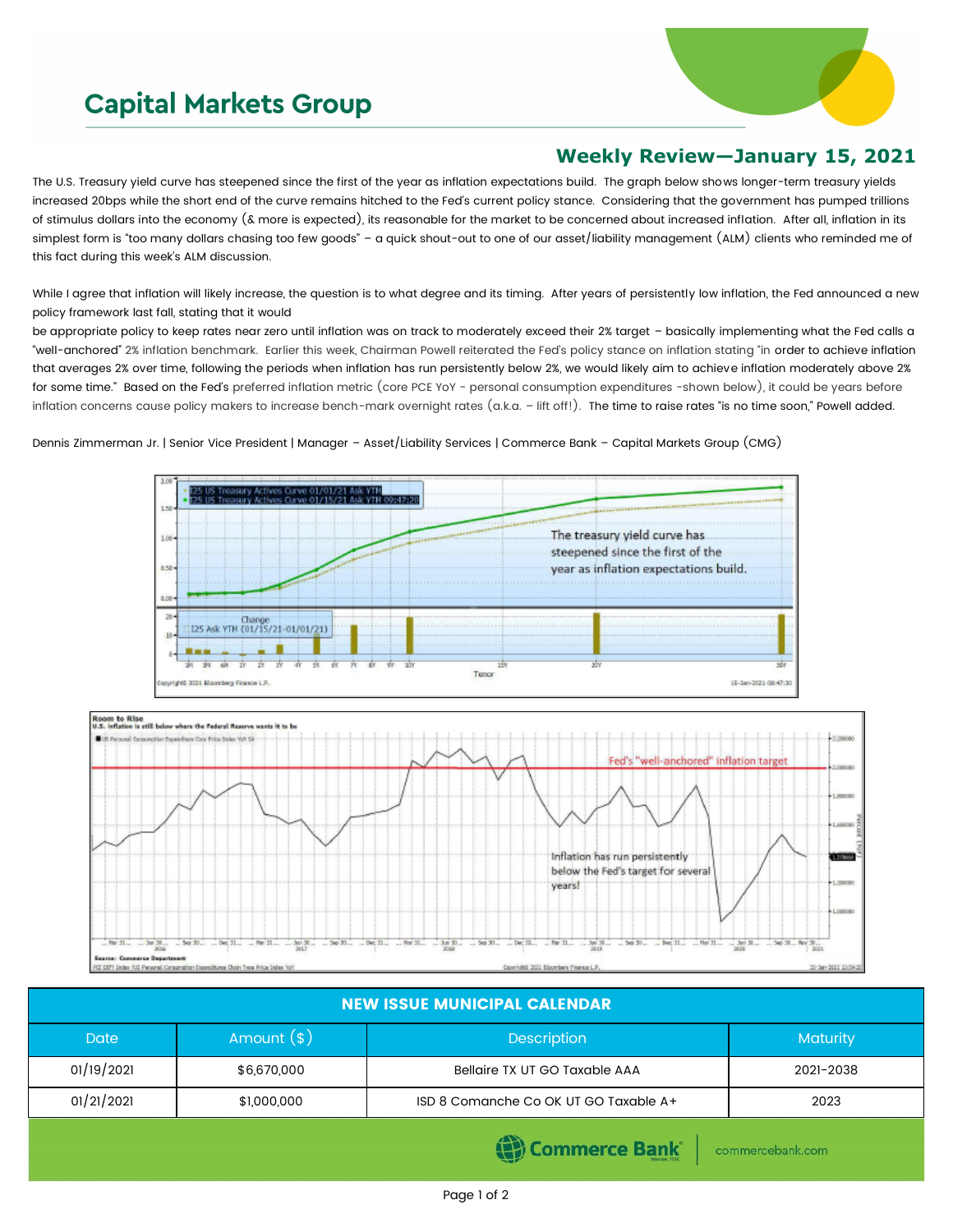## **Capital Markets Group**



## **Weekly Review—January 15, 2021**

The U.S. Treasury yield curve has steepened since the first of the year as inflation expectations build. The graph below shows longer-term treasury yields increased 20bps while the short end of the curve remains hitched to the Fed's current policy stance. Considering that the government has pumped trillions of stimulus dollars into the economy (& more is expected), its reasonable for the market to be concerned about increased inflation. After all, inflation in its simplest form is "too many dollars chasing too few goods" - a quick shout-out to one of our asset/liability management (ALM) clients who reminded me of this fact during this week's ALM discussion.

While I agree that inflation will likely increase, the question is to what degree and its timing. After years of persistently low inflation, the Fed announced a new policy framework last fall, stating that it would

be appropriate policy to keep rates near zero until inflation was on track to moderately exceed their 2% target - basically implementing what the Fed calls a "well-anchored" 2% inflation benchmark. Earlier this week, Chairman Powell reiterated the Fed's policy stance on inflation stating "in order to achieve inflation that averages 2% over time, following the periods when inflation has run persistently below 2%, we would likely aim to achieve inflation moderately above 2% for some time." Based on the Fed's preferred inflation metric (core PCE YoY - personal consumption expenditures -shown below), it could be years before inflation concerns cause policy makers to increase bench-mark overnight rates (a.k.a. – lift off!). The time to raise rates "is no time soon," Powell added.

Dennis Zimmerman Jr. | Senior Vice President | Manager – Asset/Liability Services | Commerce Bank – Capital Markets Group (CMG)



| <b>NEW ISSUE MUNICIPAL CALENDAR</b> |              |                                       |                 |  |  |  |
|-------------------------------------|--------------|---------------------------------------|-----------------|--|--|--|
| <b>Date</b>                         | Amount $(s)$ | <b>Description</b>                    | <b>Maturity</b> |  |  |  |
| 01/19/2021                          | \$6,670,000  | Bellaire TX UT GO Taxable AAA         | 2021-2038       |  |  |  |
| 01/21/2021                          | \$1,000,000  | ISD 8 Comanche Co OK UT GO Taxable A+ | 2023            |  |  |  |
|                                     |              |                                       |                 |  |  |  |

(e) Commerce Bank

commercebank.com